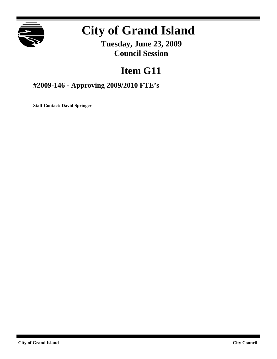

# **City of Grand Island**

**Tuesday, June 23, 2009 Council Session**

## **Item G11**

**#2009-146 - Approving 2009/2010 FTE's**

**Staff Contact: David Springer**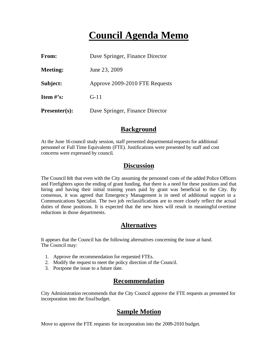### **Council Agenda Memo**

| <b>From:</b>         | Dave Springer, Finance Director |
|----------------------|---------------------------------|
| <b>Meeting:</b>      | June 23, 2009                   |
| Subject:             | Approve 2009-2010 FTE Requests  |
| Item $\#$ 's:        | $G-11$                          |
| <b>Presenter(s):</b> | Dave Springer, Finance Director |

#### **Background**

At the June 16 council study session, staff presented departmental requests for additional personnel or Full Time Equivalents (FTE). Justifications were presented by staff and cost concerns were expressed by council.

#### **Discussion**

The Council felt that even with the City assuming the personnel costs of the added Police Officers and Firefighters upon the ending of grant funding, that there is a need for these positions and that hiring and having their initial training years paid by grant was beneficial to the City. By consensus, it was agreed that Emergency Management is in need of additional support in a Communications Specialist. The two job reclassifications are to more closely reflect the actual duties of those positions. It is expected that the new hires will result in meaningful overtime reductions in those departments.

#### **Alternatives**

It appears that the Council has the following alternatives concerning the issue at hand. The Council may:

- 1. Approve the recommendation for requested FTEs.
- 2. Modify the request to meet the policy direction of the Council.
- 3. Postpone the issue to a future date.

#### **Recommendation**

City Administration recommends that the City Council approve the FTE requests as presented for incorporation into the final budget.

#### **Sample Motion**

Move to approve the FTE requests for incorporation into the 2009-2010 budget.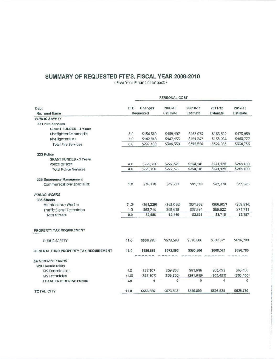### SUMMARY OF REQUESTED FTE'S, FISCAL YEAR 2009-2010

(Five Year Financial Impact)

| Dept                                  |       | PERSONAL COST |                            |                      |                     |                            |
|---------------------------------------|-------|---------------|----------------------------|----------------------|---------------------|----------------------------|
|                                       | FTE   | Changes       | 2009-10<br><b>Estimate</b> | 20010-11<br>Estimate | 2011-12<br>Estimate | 2012-13<br><b>Estimate</b> |
| No. nent Name                         |       | Requested     |                            |                      |                     |                            |
| <b>PUBLIC SAFETY</b>                  |       |               |                            |                      |                     |                            |
| 221 Fire Services                     |       |               |                            |                      |                     |                            |
| <b>GRANT FUNDED - 4 Years</b>         |       |               |                            |                      |                     |                            |
| Firefighter/Paramedic                 | 3.0   | \$154,560     | \$159,197                  | \$163,973            | \$168,892           | \$173,959                  |
| Firefighter/EMT                       | 3.0   | \$142,848     | \$147,133                  | \$151,547            | \$156,094           | \$160,777                  |
| <b>Total Fire Services</b>            | 6.0   | \$297,408     | \$306,330                  | \$315,520            | \$324,986           | \$334,735                  |
| 223 Police                            |       |               |                            |                      |                     |                            |
| <b>GRANT FUNDED - 3 Years</b>         |       |               |                            |                      |                     |                            |
| Police Officer                        | 4.0   | \$220,700     | \$227,321                  | S234,141             | \$241,165           | \$248,400                  |
| <b>Total Police Services</b>          | 4.0   | \$220,700     | \$227,321                  | \$234,141            | \$241,165           | \$248,400                  |
| 226 Emergency Management              |       |               |                            |                      |                     |                            |
| Communications Specialist             | 1.0   | \$38,778      | \$39,941                   | \$41,140             | \$42,374            | \$43,645                   |
| <b>PUBLIC WORKS</b>                   |       |               |                            |                      |                     |                            |
| 335 Streets                           |       |               |                            |                      |                     |                            |
| Maintenance Worker                    | (1.0) | (561, 229)    | (563,066)                  | (S64, 958)           | (S66, 907)          | (568, 914)                 |
| Traffic Signal Technician             | 1.0   | \$63,714      | \$65,625                   | \$67,594             | S69,622             | S71,711                    |
| <b>Total Streets</b>                  | 0.0   | \$2,485       | \$2,560                    | \$2,636              | \$2,715             | \$2,797                    |
| PROPERTY TAX REQUIREMENT              |       |               |                            |                      |                     |                            |
| <b>PUBLIC SAFETY</b>                  | 11.0  | \$556,886     | \$573,593                  | \$590,800            | \$608,524           | \$626,780                  |
| GENERAL FUND PROPERTY TAX REQUIREMENT | 11.0  | \$556,886     | \$573,593                  | \$590,800            | \$608,524           | \$626,780                  |
| <b>ENTERPRISE FUNDS</b>               |       |               |                            |                      |                     |                            |
| 520 Electric Utility                  |       |               |                            |                      |                     |                            |
| GIS Coordinator                       | 1.0   | \$58,107      | \$59,850                   | \$61,646             | \$63,495            | \$65,400                   |
| GIS Technician                        | (1.0) | (558, 107)    | (\$59,850)                 | (S61, 646)           | (S63, 495)          | (565, 400)                 |
| <b>TOTAL ENTERPRISE FUNDS</b>         | 0.0   | $\bf{0}$      | $\bf{0}$                   | 0                    | 0                   | o                          |
| <b>TOTAL CITY</b>                     | 11.0  | \$556,886     | \$573,593                  | \$590,800            | \$608,524           | \$626,780                  |